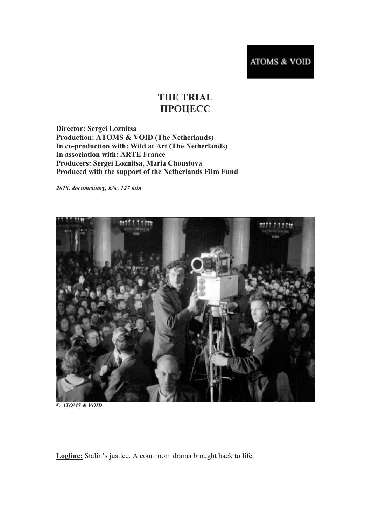## **THE TRIAL ПРОЦЕСС**

**Director: Sergei Loznitsa Production: ATOMS & VOID (The Netherlands) In co-production with: Wild at Art (The Netherlands) In association with: ARTE France Producers: Sergei Loznitsa, Maria Choustova Produced with the support of the Netherlands Film Fund**

*2018, documentary, b/w, 127 min*



*© ATOMS & VOID*

**Logline:** Stalin's justice. A courtroom drama brought back to life.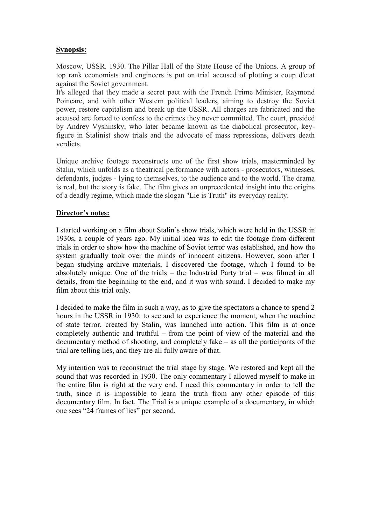## **Synopsis:**

Moscow, USSR. 1930. The Pillar Hall of the State House of the Unions. A group of top rank economists and engineers is put on trial accused of plotting a coup d'etat against the Soviet government.

It's alleged that they made a secret pact with the French Prime Minister, Raymond Poincare, and with other Western political leaders, aiming to destroy the Soviet power, restore capitalism and break up the USSR. All charges are fabricated and the accused are forced to confess to the crimes they never committed. The court, presided by Andrey Vyshinsky, who later became known as the diabolical prosecutor, keyfigure in Stalinist show trials and the advocate of mass repressions, delivers death verdicts.

Unique archive footage reconstructs one of the first show trials, masterminded by Stalin, which unfolds as a theatrical performance with actors - prosecutors, witnesses, defendants, judges - lying to themselves, to the audience and to the world. The drama is real, but the story is fake. The film gives an unprecedented insight into the origins of a deadly regime, which made the slogan "Lie is Truth" its everyday reality.

## **Director's notes:**

I started working on a film about Stalin's show trials, which were held in the USSR in 1930s, a couple of years ago. My initial idea was to edit the footage from different trials in order to show how the machine of Soviet terror was established, and how the system gradually took over the minds of innocent citizens. However, soon after I began studying archive materials, I discovered the footage, which I found to be absolutely unique. One of the trials – the Industrial Party trial – was filmed in all details, from the beginning to the end, and it was with sound. I decided to make my film about this trial only.

I decided to make the film in such a way, as to give the spectators a chance to spend 2 hours in the USSR in 1930: to see and to experience the moment, when the machine of state terror, created by Stalin, was launched into action. This film is at once completely authentic and truthful – from the point of view of the material and the documentary method of shooting, and completely fake – as all the participants of the trial are telling lies, and they are all fully aware of that.

My intention was to reconstruct the trial stage by stage. We restored and kept all the sound that was recorded in 1930. The only commentary I allowed myself to make in the entire film is right at the very end. I need this commentary in order to tell the truth, since it is impossible to learn the truth from any other episode of this documentary film. In fact, The Trial is a unique example of a documentary, in which one sees "24 frames of lies" per second.